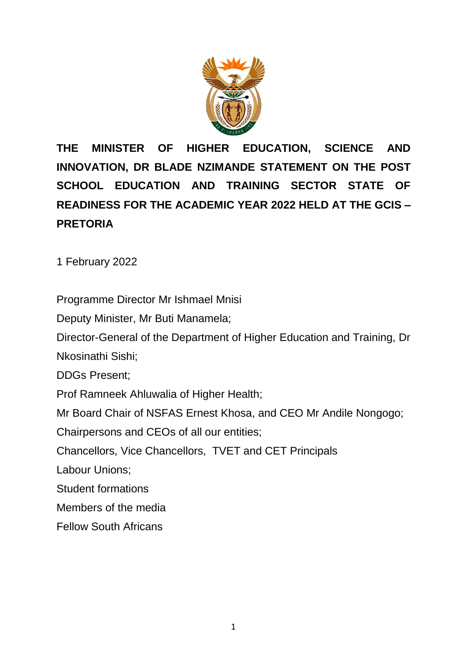

**THE MINISTER OF HIGHER EDUCATION, SCIENCE AND INNOVATION, DR BLADE NZIMANDE STATEMENT ON THE POST SCHOOL EDUCATION AND TRAINING SECTOR STATE OF READINESS FOR THE ACADEMIC YEAR 2022 HELD AT THE GCIS – PRETORIA**

1 February 2022

Programme Director Mr Ishmael Mnisi

Deputy Minister, Mr Buti Manamela;

Director-General of the Department of Higher Education and Training, Dr

Nkosinathi Sishi;

DDGs Present;

Prof Ramneek Ahluwalia of Higher Health;

Mr Board Chair of NSFAS Ernest Khosa, and CEO Mr Andile Nongogo;

Chairpersons and CEOs of all our entities;

Chancellors, Vice Chancellors, TVET and CET Principals

Labour Unions;

Student formations

Members of the media

Fellow South Africans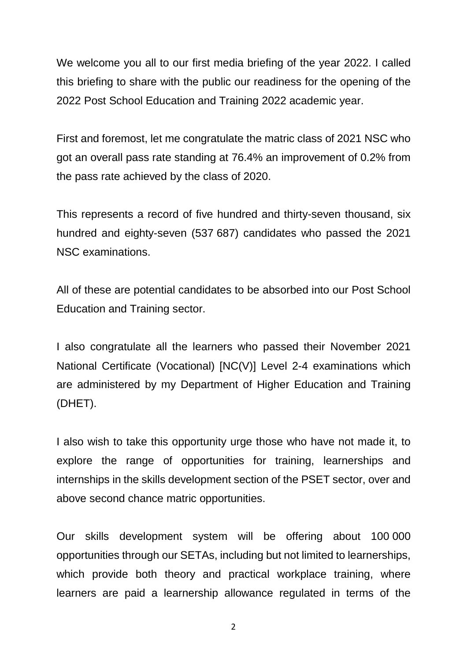We welcome you all to our first media briefing of the year 2022. I called this briefing to share with the public our readiness for the opening of the 2022 Post School Education and Training 2022 academic year.

First and foremost, let me congratulate the matric class of 2021 NSC who got an overall pass rate standing at 76.4% an improvement of 0.2% from the pass rate achieved by the class of 2020.

This represents a record of five hundred and thirty-seven thousand, six hundred and eighty-seven (537 687) candidates who passed the 2021 NSC examinations.

All of these are potential candidates to be absorbed into our Post School Education and Training sector.

I also congratulate all the learners who passed their November 2021 National Certificate (Vocational) [NC(V)] Level 2-4 examinations which are administered by my Department of Higher Education and Training (DHET).

I also wish to take this opportunity urge those who have not made it, to explore the range of opportunities for training, learnerships and internships in the skills development section of the PSET sector, over and above second chance matric opportunities.

Our skills development system will be offering about 100 000 opportunities through our SETAs, including but not limited to learnerships, which provide both theory and practical workplace training, where learners are paid a learnership allowance regulated in terms of the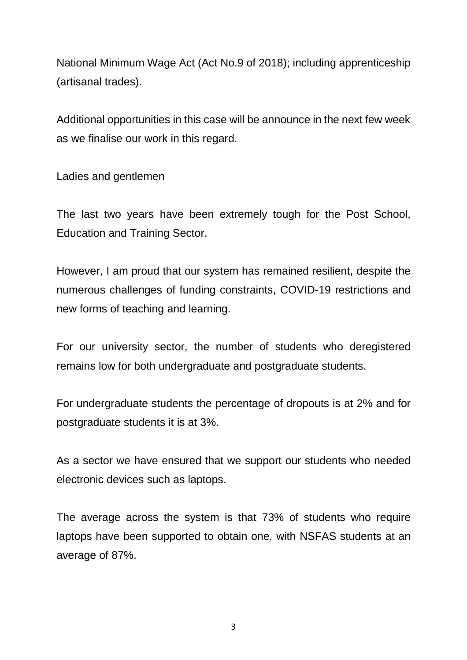National Minimum Wage Act (Act No.9 of 2018); including apprenticeship (artisanal trades).

Additional opportunities in this case will be announce in the next few week as we finalise our work in this regard.

Ladies and gentlemen

The last two years have been extremely tough for the Post School, Education and Training Sector.

However, I am proud that our system has remained resilient, despite the numerous challenges of funding constraints, COVID-19 restrictions and new forms of teaching and learning.

For our university sector, the number of students who deregistered remains low for both undergraduate and postgraduate students.

For undergraduate students the percentage of dropouts is at 2% and for postgraduate students it is at 3%.

As a sector we have ensured that we support our students who needed electronic devices such as laptops.

The average across the system is that 73% of students who require laptops have been supported to obtain one, with NSFAS students at an average of 87%.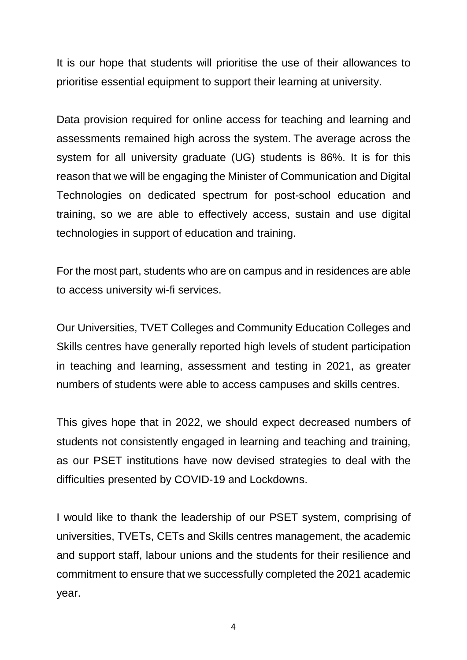It is our hope that students will prioritise the use of their allowances to prioritise essential equipment to support their learning at university.

Data provision required for online access for teaching and learning and assessments remained high across the system. The average across the system for all university graduate (UG) students is 86%. It is for this reason that we will be engaging the Minister of Communication and Digital Technologies on dedicated spectrum for post-school education and training, so we are able to effectively access, sustain and use digital technologies in support of education and training.

For the most part, students who are on campus and in residences are able to access university wi-fi services.

Our Universities, TVET Colleges and Community Education Colleges and Skills centres have generally reported high levels of student participation in teaching and learning, assessment and testing in 2021, as greater numbers of students were able to access campuses and skills centres.

This gives hope that in 2022, we should expect decreased numbers of students not consistently engaged in learning and teaching and training, as our PSET institutions have now devised strategies to deal with the difficulties presented by COVID-19 and Lockdowns.

I would like to thank the leadership of our PSET system, comprising of universities, TVETs, CETs and Skills centres management, the academic and support staff, labour unions and the students for their resilience and commitment to ensure that we successfully completed the 2021 academic year.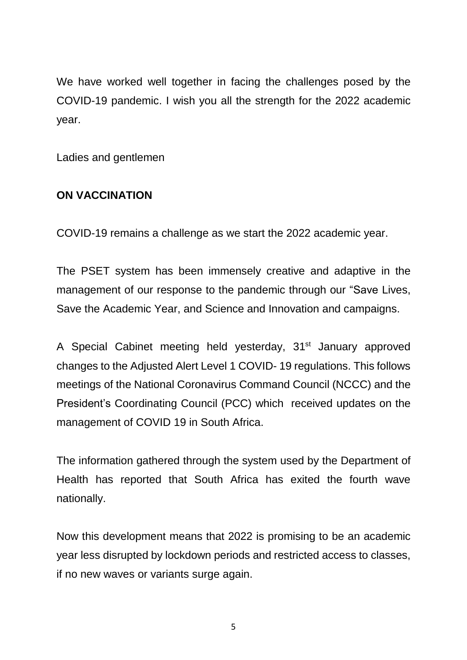We have worked well together in facing the challenges posed by the COVID-19 pandemic. I wish you all the strength for the 2022 academic year.

Ladies and gentlemen

#### **ON VACCINATION**

COVID-19 remains a challenge as we start the 2022 academic year.

The PSET system has been immensely creative and adaptive in the management of our response to the pandemic through our "Save Lives, Save the Academic Year, and Science and Innovation and campaigns.

A Special Cabinet meeting held yesterday, 31<sup>st</sup> January approved changes to the Adjusted Alert Level 1 COVID- 19 regulations. This follows meetings of the National Coronavirus Command Council (NCCC) and the President's Coordinating Council (PCC) which received updates on the management of COVID 19 in South Africa.

The information gathered through the system used by the Department of Health has reported that South Africa has exited the fourth wave nationally.

Now this development means that 2022 is promising to be an academic year less disrupted by lockdown periods and restricted access to classes, if no new waves or variants surge again.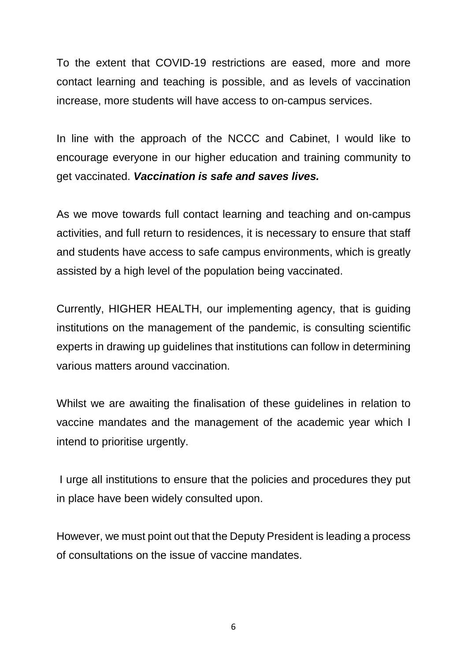To the extent that COVID-19 restrictions are eased, more and more contact learning and teaching is possible, and as levels of vaccination increase, more students will have access to on-campus services.

In line with the approach of the NCCC and Cabinet, I would like to encourage everyone in our higher education and training community to get vaccinated. *Vaccination is safe and saves lives.*

As we move towards full contact learning and teaching and on-campus activities, and full return to residences, it is necessary to ensure that staff and students have access to safe campus environments, which is greatly assisted by a high level of the population being vaccinated.

Currently, HIGHER HEALTH, our implementing agency, that is guiding institutions on the management of the pandemic, is consulting scientific experts in drawing up guidelines that institutions can follow in determining various matters around vaccination.

Whilst we are awaiting the finalisation of these guidelines in relation to vaccine mandates and the management of the academic year which I intend to prioritise urgently.

I urge all institutions to ensure that the policies and procedures they put in place have been widely consulted upon.

However, we must point out that the Deputy President is leading a process of consultations on the issue of vaccine mandates.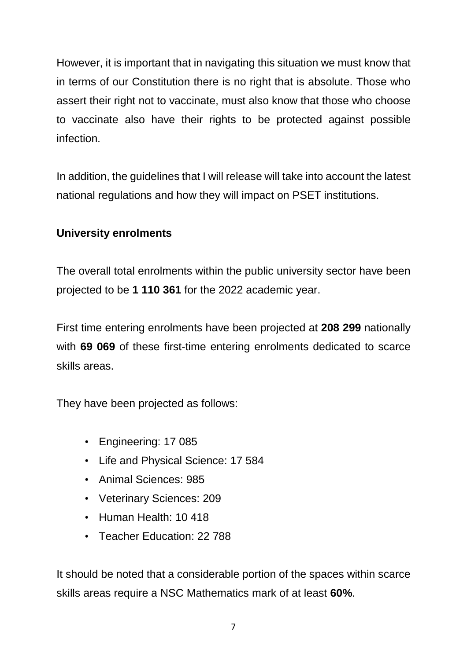However, it is important that in navigating this situation we must know that in terms of our Constitution there is no right that is absolute. Those who assert their right not to vaccinate, must also know that those who choose to vaccinate also have their rights to be protected against possible infection.

In addition, the guidelines that I will release will take into account the latest national regulations and how they will impact on PSET institutions.

## **University enrolments**

The overall total enrolments within the public university sector have been projected to be **1 110 361** for the 2022 academic year.

First time entering enrolments have been projected at **208 299** nationally with **69 069** of these first-time entering enrolments dedicated to scarce skills areas.

They have been projected as follows:

- Engineering: 17 085
- Life and Physical Science: 17 584
- Animal Sciences: 985
- Veterinary Sciences: 209
- Human Health: 10 418
- Teacher Education: 22 788

It should be noted that a considerable portion of the spaces within scarce skills areas require a NSC Mathematics mark of at least **60%**.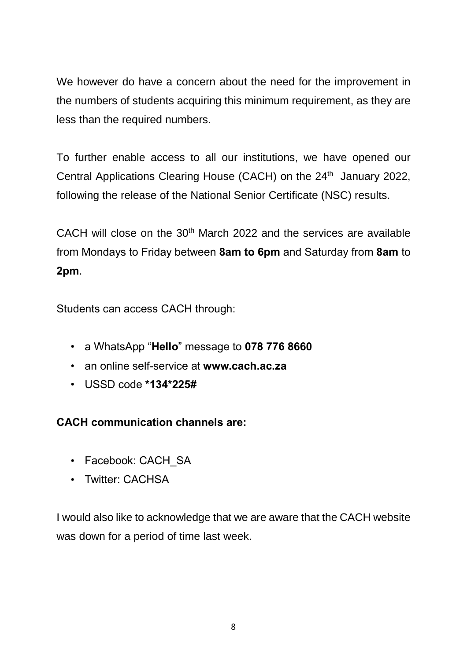We however do have a concern about the need for the improvement in the numbers of students acquiring this minimum requirement, as they are less than the required numbers.

To further enable access to all our institutions, we have opened our Central Applications Clearing House (CACH) on the 24<sup>th</sup> January 2022, following the release of the National Senior Certificate (NSC) results.

CACH will close on the  $30<sup>th</sup>$  March 2022 and the services are available from Mondays to Friday between **8am to 6pm** and Saturday from **8am** to **2pm**.

Students can access CACH through:

- a WhatsApp "**Hello**" message to **078 776 8660**
- an online self-service at **www.cach.ac.za**
- USSD code **\*134\*225#**

## **CACH communication channels are:**

- Facebook: CACH\_SA
- Twitter: CACHSA

I would also like to acknowledge that we are aware that the CACH website was down for a period of time last week.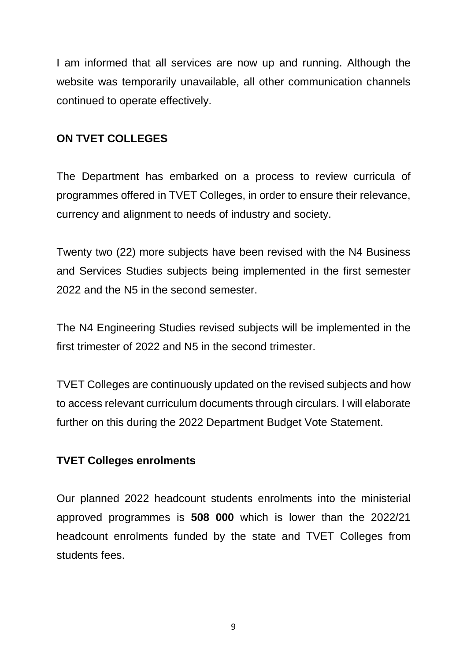I am informed that all services are now up and running. Although the website was temporarily unavailable, all other communication channels continued to operate effectively.

### **ON TVET COLLEGES**

The Department has embarked on a process to review curricula of programmes offered in TVET Colleges, in order to ensure their relevance, currency and alignment to needs of industry and society.

Twenty two (22) more subjects have been revised with the N4 Business and Services Studies subjects being implemented in the first semester 2022 and the N5 in the second semester.

The N4 Engineering Studies revised subjects will be implemented in the first trimester of 2022 and N5 in the second trimester.

TVET Colleges are continuously updated on the revised subjects and how to access relevant curriculum documents through circulars. I will elaborate further on this during the 2022 Department Budget Vote Statement.

#### **TVET Colleges enrolments**

Our planned 2022 headcount students enrolments into the ministerial approved programmes is **508 000** which is lower than the 2022/21 headcount enrolments funded by the state and TVET Colleges from students fees.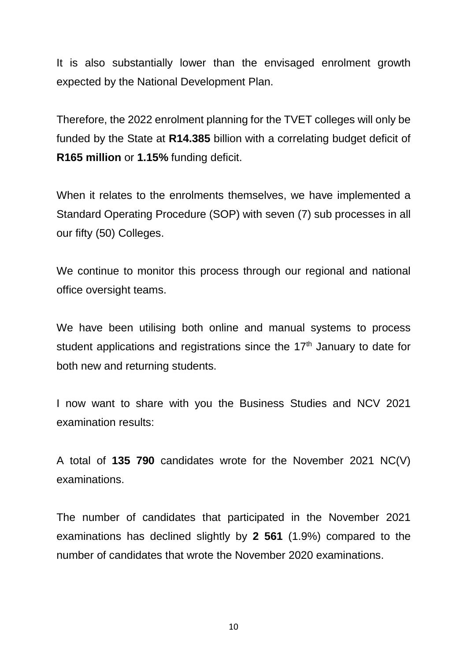It is also substantially lower than the envisaged enrolment growth expected by the National Development Plan.

Therefore, the 2022 enrolment planning for the TVET colleges will only be funded by the State at **R14.385** billion with a correlating budget deficit of **R165 million** or **1.15%** funding deficit.

When it relates to the enrolments themselves, we have implemented a Standard Operating Procedure (SOP) with seven (7) sub processes in all our fifty (50) Colleges.

We continue to monitor this process through our regional and national office oversight teams.

We have been utilising both online and manual systems to process student applications and registrations since the 17<sup>th</sup> January to date for both new and returning students.

I now want to share with you the Business Studies and NCV 2021 examination results:

A total of **135 790** candidates wrote for the November 2021 NC(V) examinations.

The number of candidates that participated in the November 2021 examinations has declined slightly by **2 561** (1.9%) compared to the number of candidates that wrote the November 2020 examinations.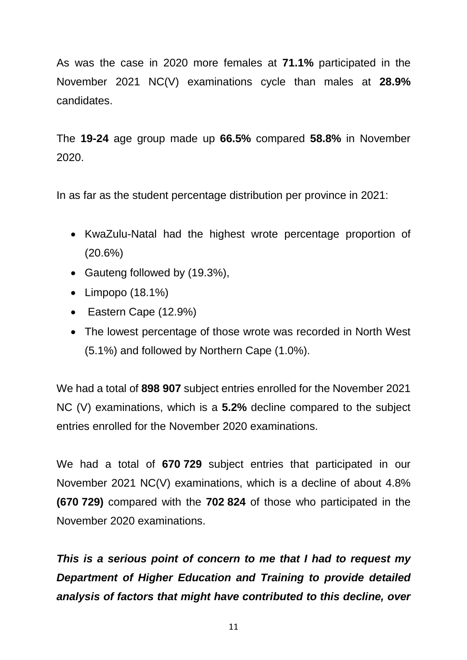As was the case in 2020 more females at **71.1%** participated in the November 2021 NC(V) examinations cycle than males at **28.9%** candidates.

The **19-24** age group made up **66.5%** compared **58.8%** in November 2020.

In as far as the student percentage distribution per province in 2021:

- KwaZulu-Natal had the highest wrote percentage proportion of (20.6%)
- Gauteng followed by (19.3%),
- Limpopo (18.1%)
- Eastern Cape (12.9%)
- The lowest percentage of those wrote was recorded in North West (5.1%) and followed by Northern Cape (1.0%).

We had a total of **898 907** subject entries enrolled for the November 2021 NC (V) examinations, which is a **5.2%** decline compared to the subject entries enrolled for the November 2020 examinations.

We had a total of **670 729** subject entries that participated in our November 2021 NC(V) examinations, which is a decline of about 4.8% **(670 729)** compared with the **702 824** of those who participated in the November 2020 examinations.

*This is a serious point of concern to me that I had to request my Department of Higher Education and Training to provide detailed analysis of factors that might have contributed to this decline, over*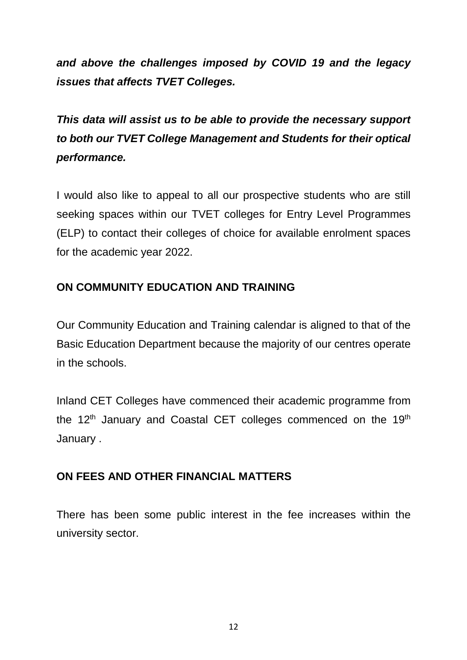*and above the challenges imposed by COVID 19 and the legacy issues that affects TVET Colleges.*

*This data will assist us to be able to provide the necessary support to both our TVET College Management and Students for their optical performance.*

I would also like to appeal to all our prospective students who are still seeking spaces within our TVET colleges for Entry Level Programmes (ELP) to contact their colleges of choice for available enrolment spaces for the academic year 2022.

## **ON COMMUNITY EDUCATION AND TRAINING**

Our Community Education and Training calendar is aligned to that of the Basic Education Department because the majority of our centres operate in the schools.

Inland CET Colleges have commenced their academic programme from the  $12<sup>th</sup>$  January and Coastal CET colleges commenced on the  $19<sup>th</sup>$ January .

## **ON FEES AND OTHER FINANCIAL MATTERS**

There has been some public interest in the fee increases within the university sector.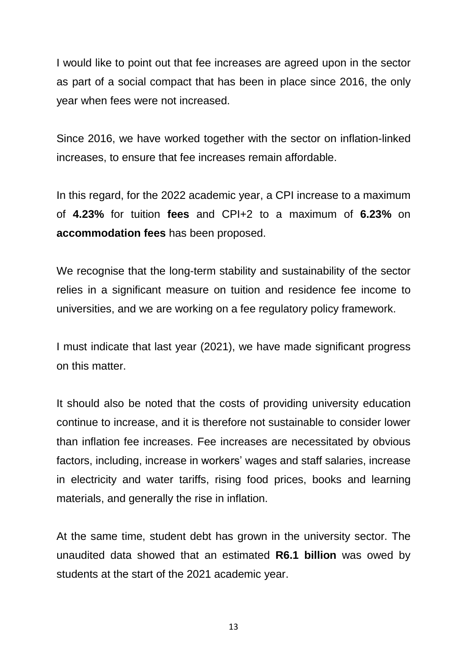I would like to point out that fee increases are agreed upon in the sector as part of a social compact that has been in place since 2016, the only year when fees were not increased.

Since 2016, we have worked together with the sector on inflation-linked increases, to ensure that fee increases remain affordable.

In this regard, for the 2022 academic year, a CPI increase to a maximum of **4.23%** for tuition **fees** and CPI+2 to a maximum of **6.23%** on **accommodation fees** has been proposed.

We recognise that the long-term stability and sustainability of the sector relies in a significant measure on tuition and residence fee income to universities, and we are working on a fee regulatory policy framework.

I must indicate that last year (2021), we have made significant progress on this matter.

It should also be noted that the costs of providing university education continue to increase, and it is therefore not sustainable to consider lower than inflation fee increases. Fee increases are necessitated by obvious factors, including, increase in workers' wages and staff salaries, increase in electricity and water tariffs, rising food prices, books and learning materials, and generally the rise in inflation.

At the same time, student debt has grown in the university sector. The unaudited data showed that an estimated **R6.1 billion** was owed by students at the start of the 2021 academic year.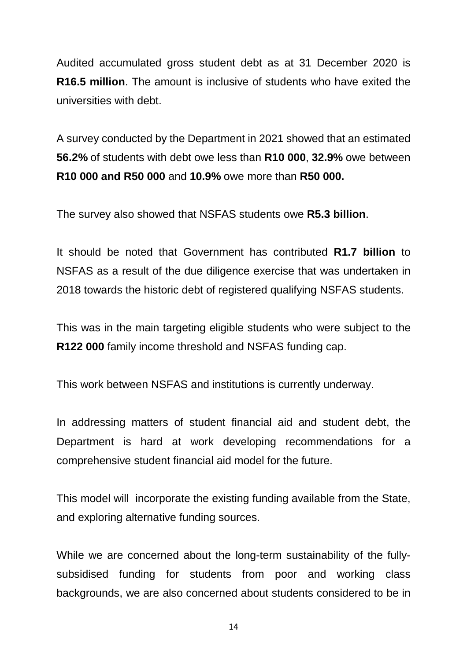Audited accumulated gross student debt as at 31 December 2020 is **R16.5 million**. The amount is inclusive of students who have exited the universities with debt.

A survey conducted by the Department in 2021 showed that an estimated **56.2%** of students with debt owe less than **R10 000**, **32.9%** owe between **R10 000 and R50 000** and **10.9%** owe more than **R50 000.**

The survey also showed that NSFAS students owe **R5.3 billion**.

It should be noted that Government has contributed **R1.7 billion** to NSFAS as a result of the due diligence exercise that was undertaken in 2018 towards the historic debt of registered qualifying NSFAS students.

This was in the main targeting eligible students who were subject to the **R122 000** family income threshold and NSFAS funding cap.

This work between NSFAS and institutions is currently underway.

In addressing matters of student financial aid and student debt, the Department is hard at work developing recommendations for a comprehensive student financial aid model for the future.

This model will incorporate the existing funding available from the State, and exploring alternative funding sources.

While we are concerned about the long-term sustainability of the fullysubsidised funding for students from poor and working class backgrounds, we are also concerned about students considered to be in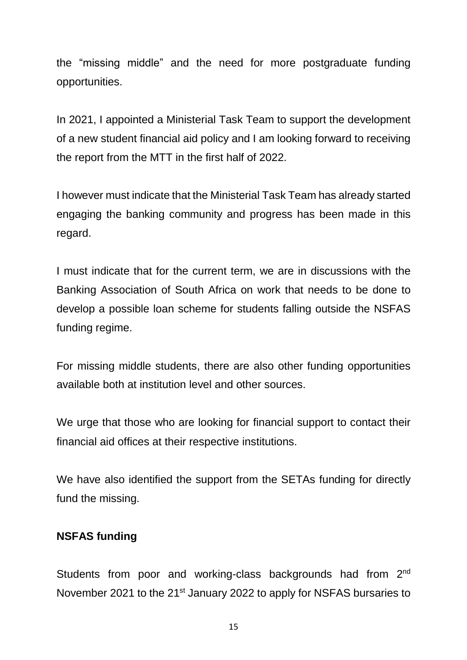the "missing middle" and the need for more postgraduate funding opportunities.

In 2021, I appointed a Ministerial Task Team to support the development of a new student financial aid policy and I am looking forward to receiving the report from the MTT in the first half of 2022.

I however must indicate that the Ministerial Task Team has already started engaging the banking community and progress has been made in this regard.

I must indicate that for the current term, we are in discussions with the Banking Association of South Africa on work that needs to be done to develop a possible loan scheme for students falling outside the NSFAS funding regime.

For missing middle students, there are also other funding opportunities available both at institution level and other sources.

We urge that those who are looking for financial support to contact their financial aid offices at their respective institutions.

We have also identified the support from the SETAs funding for directly fund the missing.

#### **NSFAS funding**

Students from poor and working-class backgrounds had from 2<sup>nd</sup> November 2021 to the 21<sup>st</sup> January 2022 to apply for NSFAS bursaries to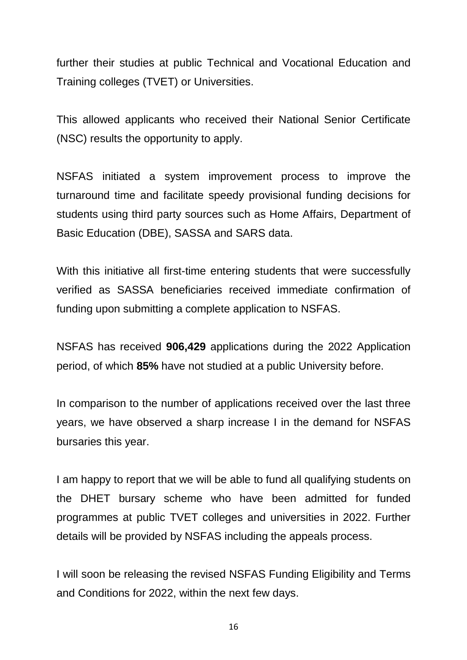further their studies at public Technical and Vocational Education and Training colleges (TVET) or Universities.

This allowed applicants who received their National Senior Certificate (NSC) results the opportunity to apply.

NSFAS initiated a system improvement process to improve the turnaround time and facilitate speedy provisional funding decisions for students using third party sources such as Home Affairs, Department of Basic Education (DBE), SASSA and SARS data.

With this initiative all first-time entering students that were successfully verified as SASSA beneficiaries received immediate confirmation of funding upon submitting a complete application to NSFAS.

NSFAS has received **906,429** applications during the 2022 Application period, of which **85%** have not studied at a public University before.

In comparison to the number of applications received over the last three years, we have observed a sharp increase I in the demand for NSFAS bursaries this year.

I am happy to report that we will be able to fund all qualifying students on the DHET bursary scheme who have been admitted for funded programmes at public TVET colleges and universities in 2022. Further details will be provided by NSFAS including the appeals process.

I will soon be releasing the revised NSFAS Funding Eligibility and Terms and Conditions for 2022, within the next few days.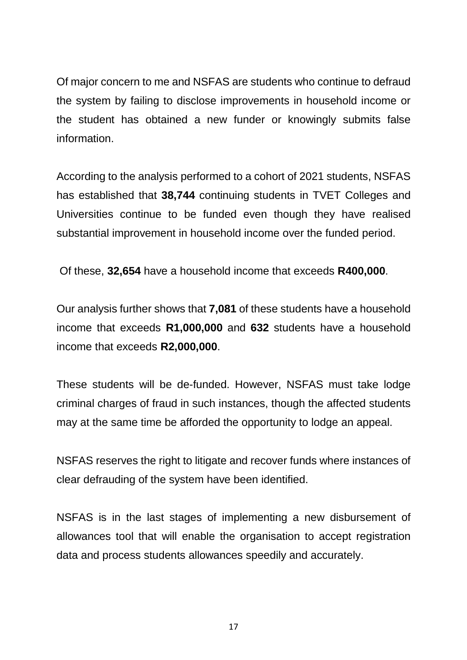Of major concern to me and NSFAS are students who continue to defraud the system by failing to disclose improvements in household income or the student has obtained a new funder or knowingly submits false information.

According to the analysis performed to a cohort of 2021 students, NSFAS has established that **38,744** continuing students in TVET Colleges and Universities continue to be funded even though they have realised substantial improvement in household income over the funded period.

Of these, **32,654** have a household income that exceeds **R400,000**.

Our analysis further shows that **7,081** of these students have a household income that exceeds **R1,000,000** and **632** students have a household income that exceeds **R2,000,000**.

These students will be de-funded. However, NSFAS must take lodge criminal charges of fraud in such instances, though the affected students may at the same time be afforded the opportunity to lodge an appeal.

NSFAS reserves the right to litigate and recover funds where instances of clear defrauding of the system have been identified.

NSFAS is in the last stages of implementing a new disbursement of allowances tool that will enable the organisation to accept registration data and process students allowances speedily and accurately.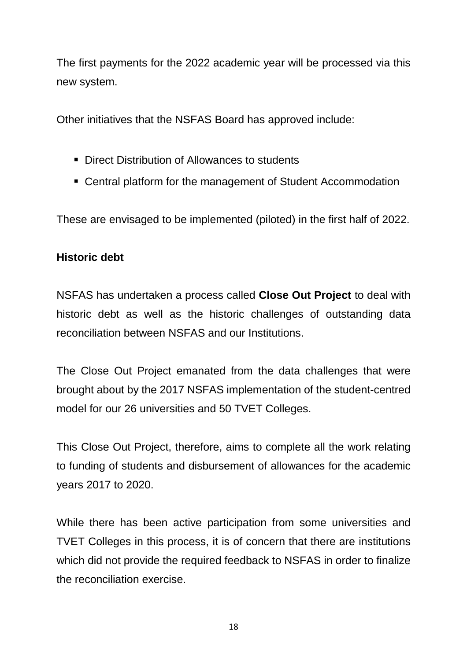The first payments for the 2022 academic year will be processed via this new system.

Other initiatives that the NSFAS Board has approved include:

- Direct Distribution of Allowances to students
- Central platform for the management of Student Accommodation

These are envisaged to be implemented (piloted) in the first half of 2022.

## **Historic debt**

NSFAS has undertaken a process called **Close Out Project** to deal with historic debt as well as the historic challenges of outstanding data reconciliation between NSFAS and our Institutions.

The Close Out Project emanated from the data challenges that were brought about by the 2017 NSFAS implementation of the student-centred model for our 26 universities and 50 TVET Colleges.

This Close Out Project, therefore, aims to complete all the work relating to funding of students and disbursement of allowances for the academic years 2017 to 2020.

While there has been active participation from some universities and TVET Colleges in this process, it is of concern that there are institutions which did not provide the required feedback to NSFAS in order to finalize the reconciliation exercise.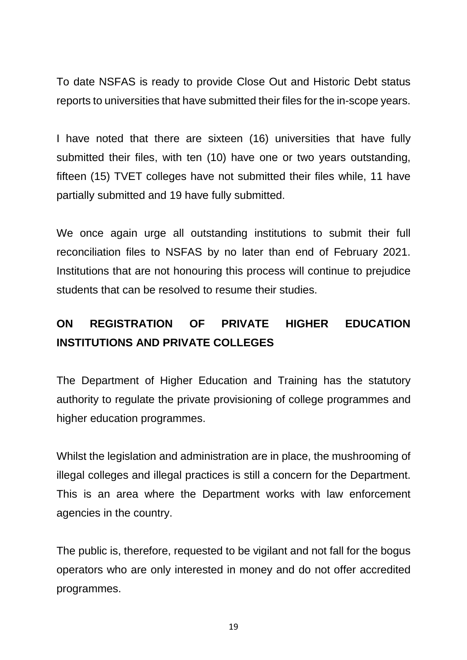To date NSFAS is ready to provide Close Out and Historic Debt status reports to universities that have submitted their files for the in-scope years.

I have noted that there are sixteen (16) universities that have fully submitted their files, with ten (10) have one or two years outstanding, fifteen (15) TVET colleges have not submitted their files while, 11 have partially submitted and 19 have fully submitted.

We once again urge all outstanding institutions to submit their full reconciliation files to NSFAS by no later than end of February 2021. Institutions that are not honouring this process will continue to prejudice students that can be resolved to resume their studies.

# **ON REGISTRATION OF PRIVATE HIGHER EDUCATION INSTITUTIONS AND PRIVATE COLLEGES**

The Department of Higher Education and Training has the statutory authority to regulate the private provisioning of college programmes and higher education programmes.

Whilst the legislation and administration are in place, the mushrooming of illegal colleges and illegal practices is still a concern for the Department. This is an area where the Department works with law enforcement agencies in the country.

The public is, therefore, requested to be vigilant and not fall for the bogus operators who are only interested in money and do not offer accredited programmes.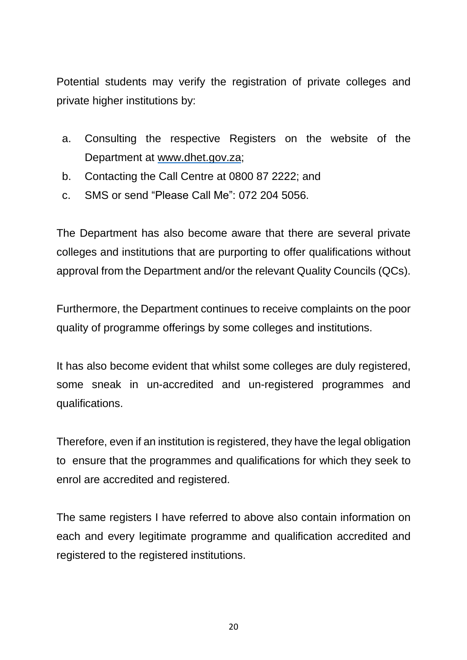Potential students may verify the registration of private colleges and private higher institutions by:

- a. Consulting the respective Registers on the website of the Department at [www.dhet.gov.za;](http://www.dhet.gov.za/)
- b. Contacting the Call Centre at 0800 87 2222; and
- c. SMS or send "Please Call Me": 072 204 5056.

The Department has also become aware that there are several private colleges and institutions that are purporting to offer qualifications without approval from the Department and/or the relevant Quality Councils (QCs).

Furthermore, the Department continues to receive complaints on the poor quality of programme offerings by some colleges and institutions.

It has also become evident that whilst some colleges are duly registered, some sneak in un-accredited and un-registered programmes and qualifications.

Therefore, even if an institution is registered, they have the legal obligation to ensure that the programmes and qualifications for which they seek to enrol are accredited and registered.

The same registers I have referred to above also contain information on each and every legitimate programme and qualification accredited and registered to the registered institutions.